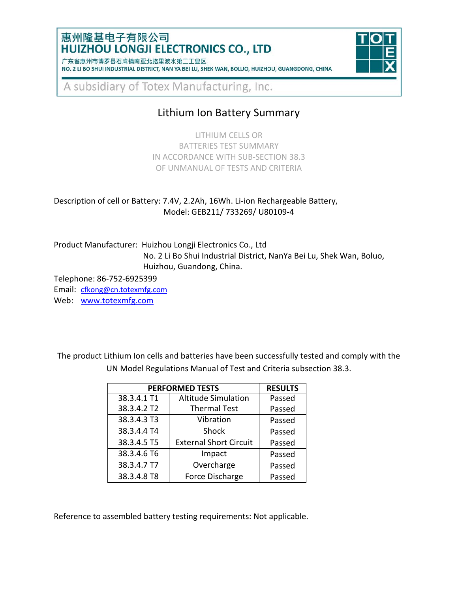### 惠州隆基电子有限公司 **HUIZHOU LONGJI ELECTRONICS CO., LTD**

广东省惠州市博罗县石湾镇南亚北路里波水第二工业区 NO. 2 LI BO SHUI INDUSTRIAL DISTRICT, NAN YA BEI LU, SHEK WAN, BOLUO, HUIZHOU, GUANGDONG, CHINA



A subsidiary of Totex Manufacturing, Inc.

# Lithium Ion Battery Summary

LITHIUM CELLS OR BATTERIES TEST SUMMARY IN ACCORDANCE WITH SUB-SECTION 38.3 OF UNMANUAL OF TESTS AND CRITERIA

#### Description of cell or Battery: 7.4V, 2.2Ah, 16Wh. Li-ion Rechargeable Battery, Model: GEB211/ 733269/ U80109-4

Product Manufacturer: Huizhou Longji Electronics Co., Ltd No. 2 Li Bo Shui Industrial District, NanYa Bei Lu, Shek Wan, Boluo, Huizhou, Guandong, China.

Telephone: 86-752-6925399

Email: [cfkong@cn.totexmfg.com](mailto:cfkong@cn.totexmfg.com)

Web: [www.totexmfg.com](http://www.totexmfg.com/)

The product Lithium Ion cells and batteries have been successfully tested and comply with the UN Model Regulations Manual of Test and Criteria subsection 38.3.

| <b>PERFORMED TESTS</b> | <b>RESULTS</b>                |        |
|------------------------|-------------------------------|--------|
| 38.3.4.1 T1            | <b>Altitude Simulation</b>    | Passed |
| 38.3.4.2 T2            | <b>Thermal Test</b>           | Passed |
| 38.3.4.3 T3            | Vibration                     | Passed |
| 38.3.4.4 T4            | Shock                         | Passed |
| 38.3.4.5 T5            | <b>External Short Circuit</b> | Passed |
| 38.3.4.6 T6            | Impact                        | Passed |
| 38.3.4.7 T7            | Overcharge                    | Passed |
| 38.3.4.8 T8            | Force Discharge               | Passed |

Reference to assembled battery testing requirements: Not applicable.